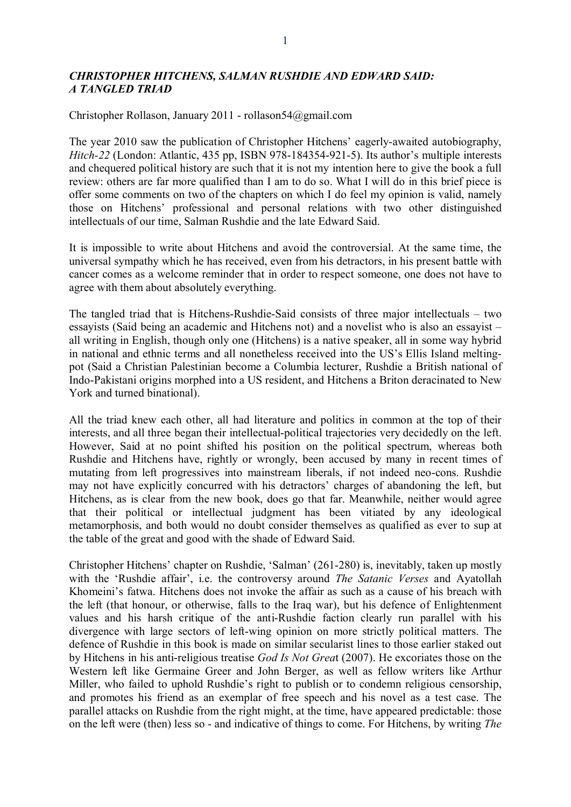## *CHRISTOPHER HITCHENS, SALMAN RUSHDIE AND EDWARD SAID: A TANGLED TRIAD*

Christopher Rollason, January 2011 - rollason54@gmail.com

The year 2010 saw the publication of Christopher Hitchens' eagerly-awaited autobiography, *Hitch-22* (London: Atlantic, 435 pp, ISBN 978-184354-921-5). Its author's multiple interests and chequered political history are such that it is not my intention here to give the book a full review: others are far more qualified than I am to do so. What I will do in this brief piece is offer some comments on two of the chapters on which I do feel my opinion is valid, namely those on Hitchens' professional and personal relations with two other distinguished intellectuals of our time, Salman Rushdie and the late Edward Said.

It is impossible to write about Hitchens and avoid the controversial. At the same time, the universal sympathy which he has received, even from his detractors, in his present battle with cancer comes as a welcome reminder that in order to respect someone, one does not have to agree with them about absolutely everything.

The tangled triad that is Hitchens-Rushdie-Said consists of three major intellectuals – two essayists (Said being an academic and Hitchens not) and a novelist who is also an essayist – all writing in English, though only one (Hitchens) is a native speaker, all in some way hybrid in national and ethnic terms and all nonetheless received into the US's Ellis Island meltingpot (Said a Christian Palestinian become a Columbia lecturer, Rushdie a British national of Indo-Pakistani origins morphed into a US resident, and Hitchens a Briton deracinated to New York and turned binational).

All the triad knew each other, all had literature and politics in common at the top of their interests, and all three began their intellectual-political trajectories very decidedly on the left. However, Said at no point shifted his position on the political spectrum, whereas both Rushdie and Hitchens have, rightly or wrongly, been accused by many in recent times of mutating from left progressives into mainstream liberals, if not indeed neo-cons. Rushdie may not have explicitly concurred with his detractors' charges of abandoning the left, but Hitchens, as is clear from the new book, does go that far. Meanwhile, neither would agree that their political or intellectual judgment has been vitiated by any ideological metamorphosis, and both would no doubt consider themselves as qualified as ever to sup at the table of the great and good with the shade of Edward Said.

Christopher Hitchens' chapter on Rushdie, 'Salman' (261-280) is, inevitably, taken up mostly with the 'Rushdie affair', i.e. the controversy around *The Satanic Verses* and Ayatollah Khomeini's fatwa. Hitchens does not invoke the affair as such as a cause of his breach with the left (that honour, or otherwise, falls to the Iraq war), but his defence of Enlightenment values and his harsh critique of the anti-Rushdie faction clearly run parallel with his divergence with large sectors of left-wing opinion on more strictly political matters. The defence of Rushdie in this book is made on similar secularist lines to those earlier staked out by Hitchens in his anti-religious treatise *God Is Not Grea*t (2007). He excoriates those on the Western left like Germaine Greer and John Berger, as well as fellow writers like Arthur Miller, who failed to uphold Rushdie's right to publish or to condemn religious censorship, and promotes his friend as an exemplar of free speech and his novel as a test case. The parallel attacks on Rushdie from the right might, at the time, have appeared predictable: those on the left were (then) less so - and indicative of things to come. For Hitchens, by writing *The*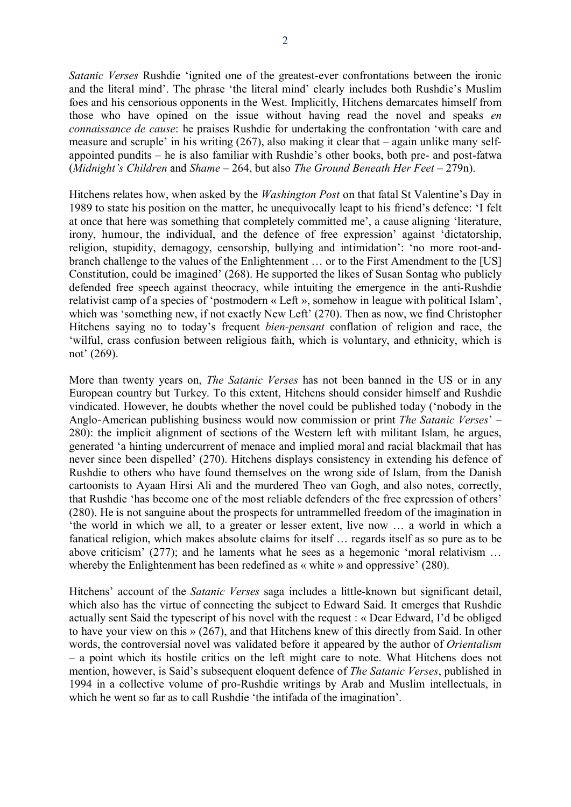*Satanic Verses* Rushdie 'ignited one of the greatest-ever confrontations between the ironic and the literal mind'. The phrase 'the literal mind' clearly includes both Rushdie's Muslim foes and his censorious opponents in the West. Implicitly, Hitchens demarcates himself from those who have opined on the issue without having read the novel and speaks *en connaissance de cause*: he praises Rushdie for undertaking the confrontation 'with care and measure and scruple' in his writing (267), also making it clear that – again unlike many selfappointed pundits – he is also familiar with Rushdie's other books, both pre- and post-fatwa (*Midnight's Children* and *Shame* – 264, but also *The Ground Beneath Her Feet* – 279n).

Hitchens relates how, when asked by the *Washington Post* on that fatal St Valentine's Day in 1989 to state his position on the matter, he unequivocally leapt to his friend's defence: 'I felt at once that here was something that completely committed me', a cause aligning 'literature, irony, humour, the individual, and the defence of free expression' against 'dictatorship, religion, stupidity, demagogy, censorship, bullying and intimidation': 'no more root-andbranch challenge to the values of the Enlightenment … or to the First Amendment to the [US] Constitution, could be imagined' (268). He supported the likes of Susan Sontag who publicly defended free speech against theocracy, while intuiting the emergence in the anti-Rushdie relativist camp of a species of 'postmodern « Left », somehow in league with political Islam', which was 'something new, if not exactly New Left' (270). Then as now, we find Christopher Hitchens saying no to today's frequent *bien-pensant* conflation of religion and race, the 'wilful, crass confusion between religious faith, which is voluntary, and ethnicity, which is not' (269).

More than twenty years on, *The Satanic Verses* has not been banned in the US or in any European country but Turkey. To this extent, Hitchens should consider himself and Rushdie vindicated. However, he doubts whether the novel could be published today ('nobody in the Anglo-American publishing business would now commission or print *The Satanic Verses*' – 280): the implicit alignment of sections of the Western left with militant Islam, he argues, generated 'a hinting undercurrent of menace and implied moral and racial blackmail that has never since been dispelled' (270). Hitchens displays consistency in extending his defence of Rushdie to others who have found themselves on the wrong side of Islam, from the Danish cartoonists to Ayaan Hirsi Ali and the murdered Theo van Gogh, and also notes, correctly, that Rushdie 'has become one of the most reliable defenders of the free expression of others' (280). He is not sanguine about the prospects for untrammelled freedom of the imagination in 'the world in which we all, to a greater or lesser extent, live now … a world in which a fanatical religion, which makes absolute claims for itself … regards itself as so pure as to be above criticism' (277); and he laments what he sees as a hegemonic 'moral relativism … whereby the Enlightenment has been redefined as « white » and oppressive' (280).

Hitchens' account of the *Satanic Verses* saga includes a little-known but significant detail, which also has the virtue of connecting the subject to Edward Said. It emerges that Rushdie actually sent Said the typescript of his novel with the request : « Dear Edward, I'd be obliged to have your view on this » (267), and that Hitchens knew of this directly from Said. In other words, the controversial novel was validated before it appeared by the author of *Orientalism* – a point which its hostile critics on the left might care to note. What Hitchens does not mention, however, is Said's subsequent eloquent defence of *The Satanic Verses*, published in 1994 in a collective volume of pro-Rushdie writings by Arab and Muslim intellectuals, in which he went so far as to call Rushdie 'the intifada of the imagination'.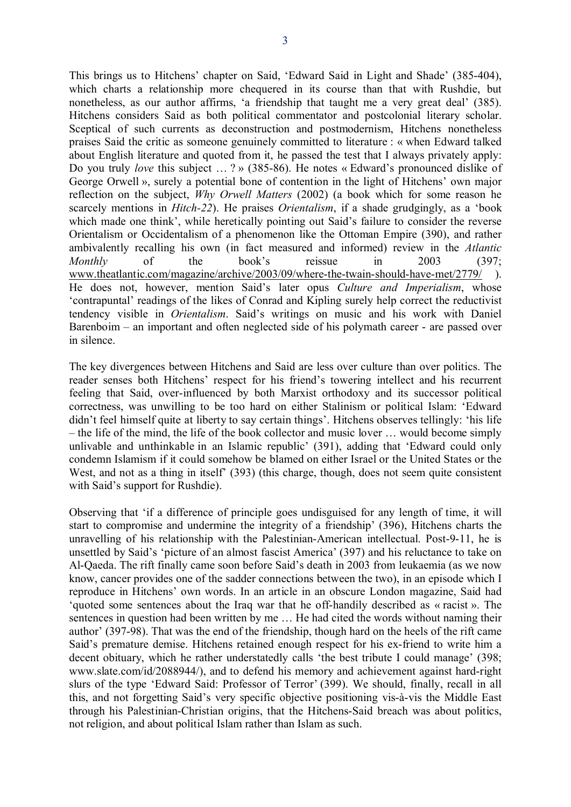This brings us to Hitchens' chapter on Said, 'Edward Said in Light and Shade' (385-404), which charts a relationship more chequered in its course than that with Rushdie, but nonetheless, as our author affirms, 'a friendship that taught me a very great deal' (385). Hitchens considers Said as both political commentator and postcolonial literary scholar. Sceptical of such currents as deconstruction and postmodernism, Hitchens nonetheless praises Said the critic as someone genuinely committed to literature : « when Edward talked about English literature and quoted from it, he passed the test that I always privately apply: Do you truly *love* this subject … ? » (385-86). He notes « Edward's pronounced dislike of George Orwell », surely a potential bone of contention in the light of Hitchens' own major reflection on the subject, *Why Orwell Matters* (2002) (a book which for some reason he scarcely mentions in *Hitch-22*). He praises *Orientalism*, if a shade grudgingly, as a 'book which made one think', while heretically pointing out Said's failure to consider the reverse Orientalism or Occidentalism of a phenomenon like the Ottoman Empire (390), and rather ambivalently recalling his own (in fact measured and informed) review in the *Atlantic Monthly* of the book's reissue in 2003 (397; [www.theatlantic.com/magazine/archive/2003/09/where-the-twain-should-have-met/2779/](http://www.theatlantic.com/magazine/archive/2003/09/where-the-twain-should-have-met/2779/) ). He does not, however, mention Said's later opus *Culture and Imperialism*, whose 'contrapuntal' readings of the likes of Conrad and Kipling surely help correct the reductivist tendency visible in *Orientalism*. Said's writings on music and his work with Daniel Barenboim – an important and often neglected side of his polymath career - are passed over in silence.

The key divergences between Hitchens and Said are less over culture than over politics. The reader senses both Hitchens' respect for his friend's towering intellect and his recurrent feeling that Said, over-influenced by both Marxist orthodoxy and its successor political correctness, was unwilling to be too hard on either Stalinism or political Islam: 'Edward didn't feel himself quite at liberty to say certain things'. Hitchens observes tellingly: 'his life – the life of the mind, the life of the book collector and music lover … would become simply unlivable and unthinkable in an Islamic republic' (391), adding that 'Edward could only condemn Islamism if it could somehow be blamed on either Israel or the United States or the West, and not as a thing in itself' (393) (this charge, though, does not seem quite consistent with Said's support for Rushdie).

Observing that 'if a difference of principle goes undisguised for any length of time, it will start to compromise and undermine the integrity of a friendship' (396), Hitchens charts the unravelling of his relationship with the Palestinian-American intellectual. Post-9-11, he is unsettled by Said's 'picture of an almost fascist America' (397) and his reluctance to take on Al-Qaeda. The rift finally came soon before Said's death in 2003 from leukaemia (as we now know, cancer provides one of the sadder connections between the two), in an episode which I reproduce in Hitchens' own words. In an article in an obscure London magazine, Said had 'quoted some sentences about the Iraq war that he off-handily described as « racist ». The sentences in question had been written by me … He had cited the words without naming their author' (397-98). That was the end of the friendship, though hard on the heels of the rift came Said's premature demise. Hitchens retained enough respect for his ex-friend to write him a decent obituary, which he rather understatedly calls 'the best tribute I could manage' (398; www.slate.com/id/2088944/), and to defend his memory and achievement against hard-right slurs of the type 'Edward Said: Professor of Terror' (399). We should, finally, recall in all this, and not forgetting Said's very specific objective positioning vis-à-vis the Middle East through his Palestinian-Christian origins, that the Hitchens-Said breach was about politics, not religion, and about political Islam rather than Islam as such.